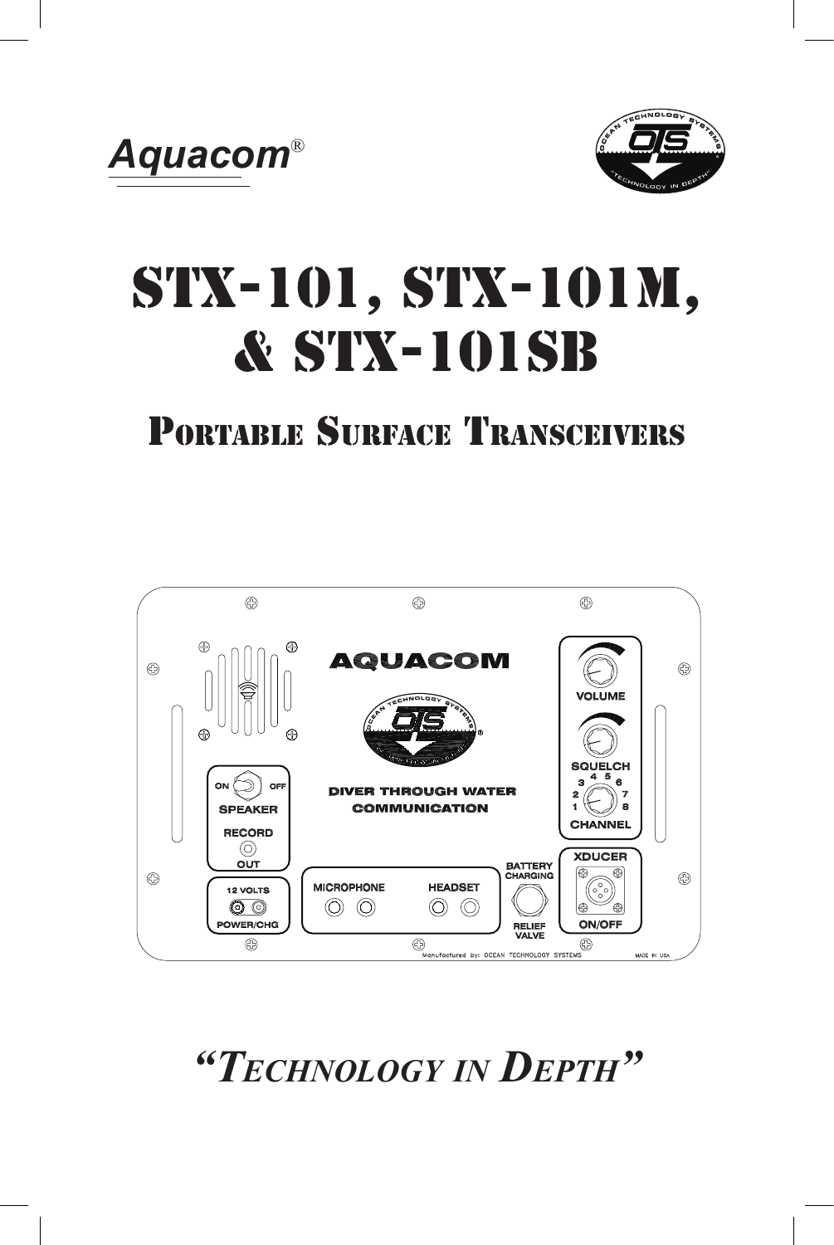



# STX-101, STX-101M, & STX-101SB

# Portable Surface Transceivers



*"Technology in Depth"*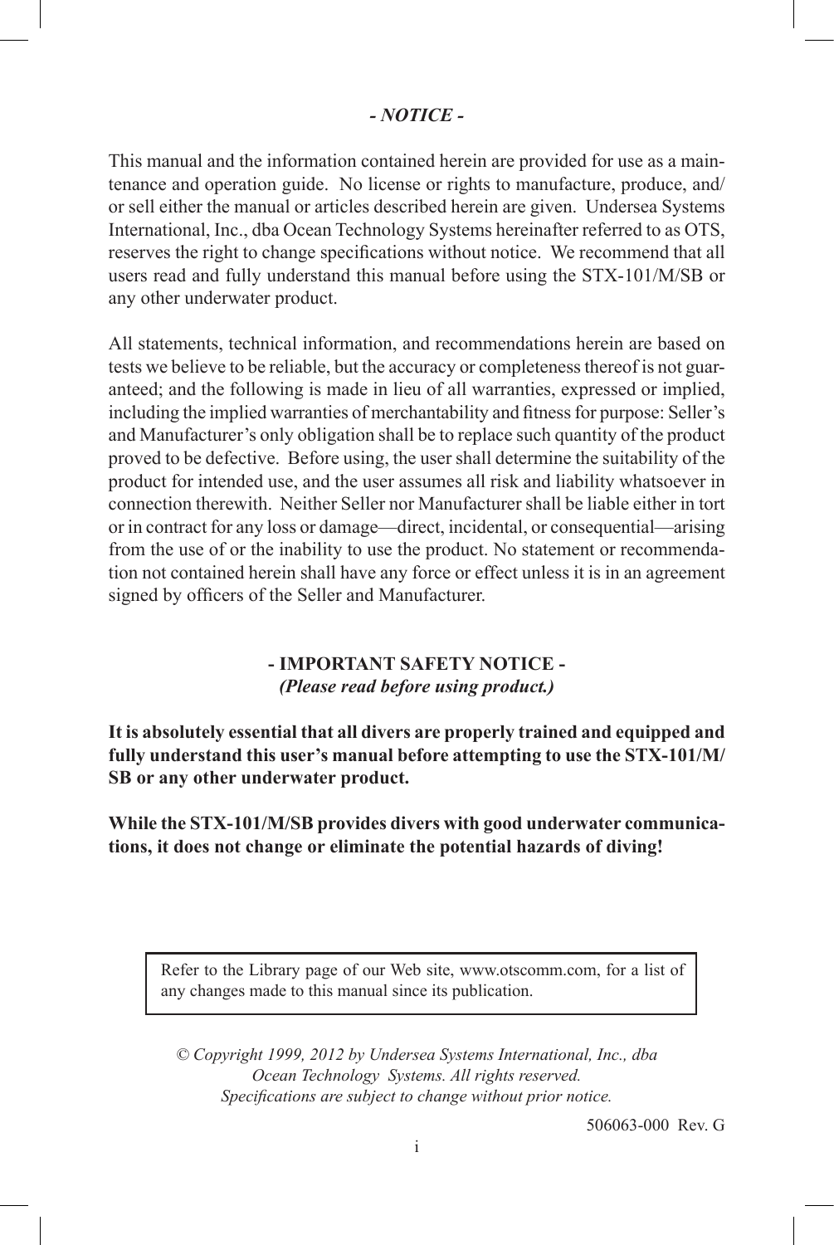#### *- NOTICE -*

This manual and the information contained herein are provided for use as a maintenance and operation guide. No license or rights to manufacture, produce, and/ or sell either the manual or articles described herein are given. Undersea Systems International, Inc., dba Ocean Technology Systems hereinafter referred to as OTS, reserves the right to change specifications without notice. We recommend that all users read and fully understand this manual before using the STX-101/M/SB or any other underwater product.

All statements, technical information, and recommendations herein are based on tests we believe to be reliable, but the accuracy or completeness thereof is not guaranteed; and the following is made in lieu of all warranties, expressed or implied, including the implied warranties of merchantability and fitness for purpose: Seller's and Manufacturer's only obligation shall be to replace such quantity of the product proved to be defective. Before using, the user shall determine the suitability of the product for intended use, and the user assumes all risk and liability whatsoever in connection therewith. Neither Seller nor Manufacturer shall be liable either in tort or in contract for any loss or damage—direct, incidental, or consequential—arising from the use of or the inability to use the product. No statement or recommendation not contained herein shall have any force or effect unless it is in an agreement signed by officers of the Seller and Manufacturer.

#### **- IMPORTANT SAFETY NOTICE -** *(Please read before using product.)*

**It is absolutely essential that all divers are properly trained and equipped and fully understand this user's manual before attempting to use the STX-101/M/ SB or any other underwater product.**

**While the STX-101/M/SB provides divers with good underwater communications, it does not change or eliminate the potential hazards of diving!**

Refer to the Library page of our Web site, www.otscomm.com, for a list of any changes made to this manual since its publication.

*© Copyright 1999, 2012 by Undersea Systems International, Inc., dba Ocean Technology Systems. All rights reserved. Specifications are subject to change without prior notice.*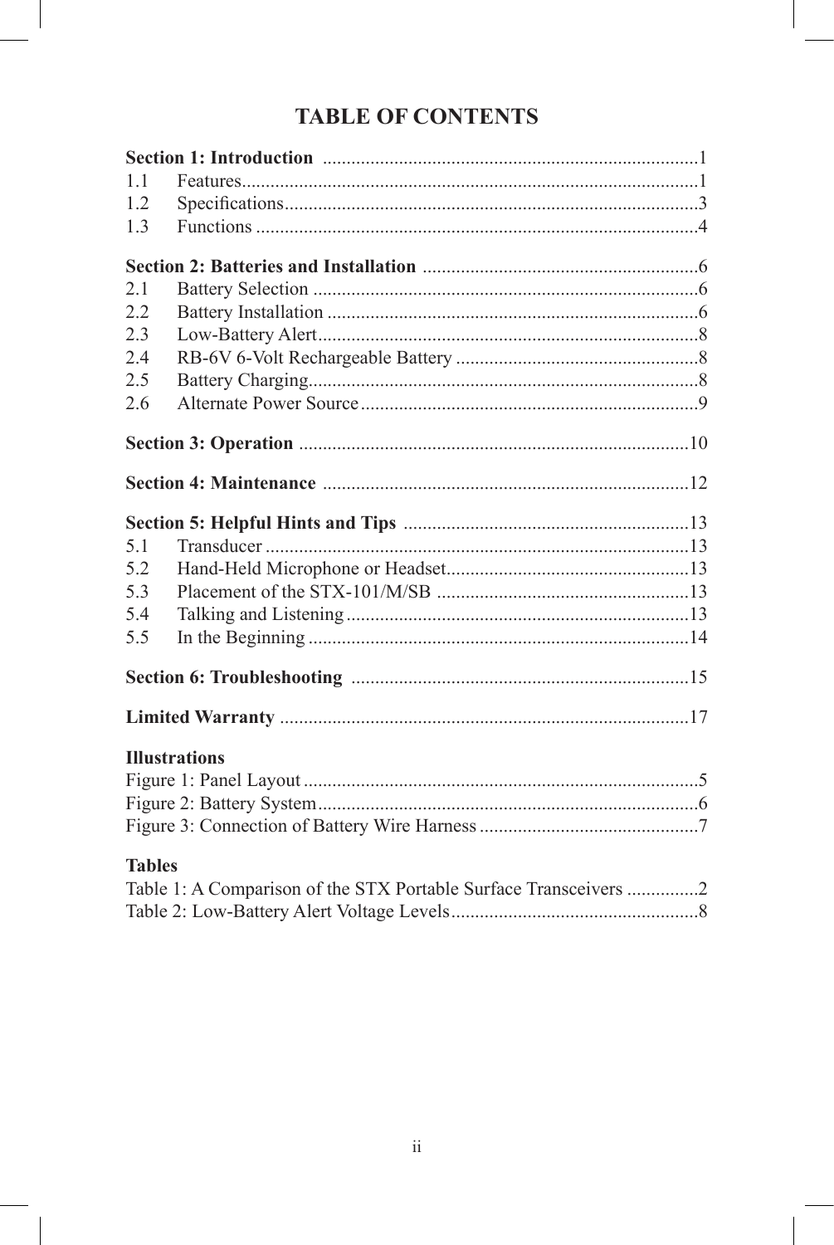## **TABLE OF CONTENTS**

| 11            |                                                                  |  |
|---------------|------------------------------------------------------------------|--|
| 1.2           |                                                                  |  |
| 1.3           |                                                                  |  |
|               |                                                                  |  |
| 2.1           |                                                                  |  |
| 2.2           |                                                                  |  |
| 2.3           |                                                                  |  |
| 24            |                                                                  |  |
| 2.5           |                                                                  |  |
| 2.6           |                                                                  |  |
|               |                                                                  |  |
|               |                                                                  |  |
|               |                                                                  |  |
| 5.1           |                                                                  |  |
| 5.2           |                                                                  |  |
| 5.3           |                                                                  |  |
| 5.4           |                                                                  |  |
| 5.5           |                                                                  |  |
|               |                                                                  |  |
|               |                                                                  |  |
|               | <b>Illustrations</b>                                             |  |
|               |                                                                  |  |
|               |                                                                  |  |
|               |                                                                  |  |
| <b>Tables</b> |                                                                  |  |
|               | Table 1: A Comparison of the STX Portable Surface Transceivers 2 |  |
|               |                                                                  |  |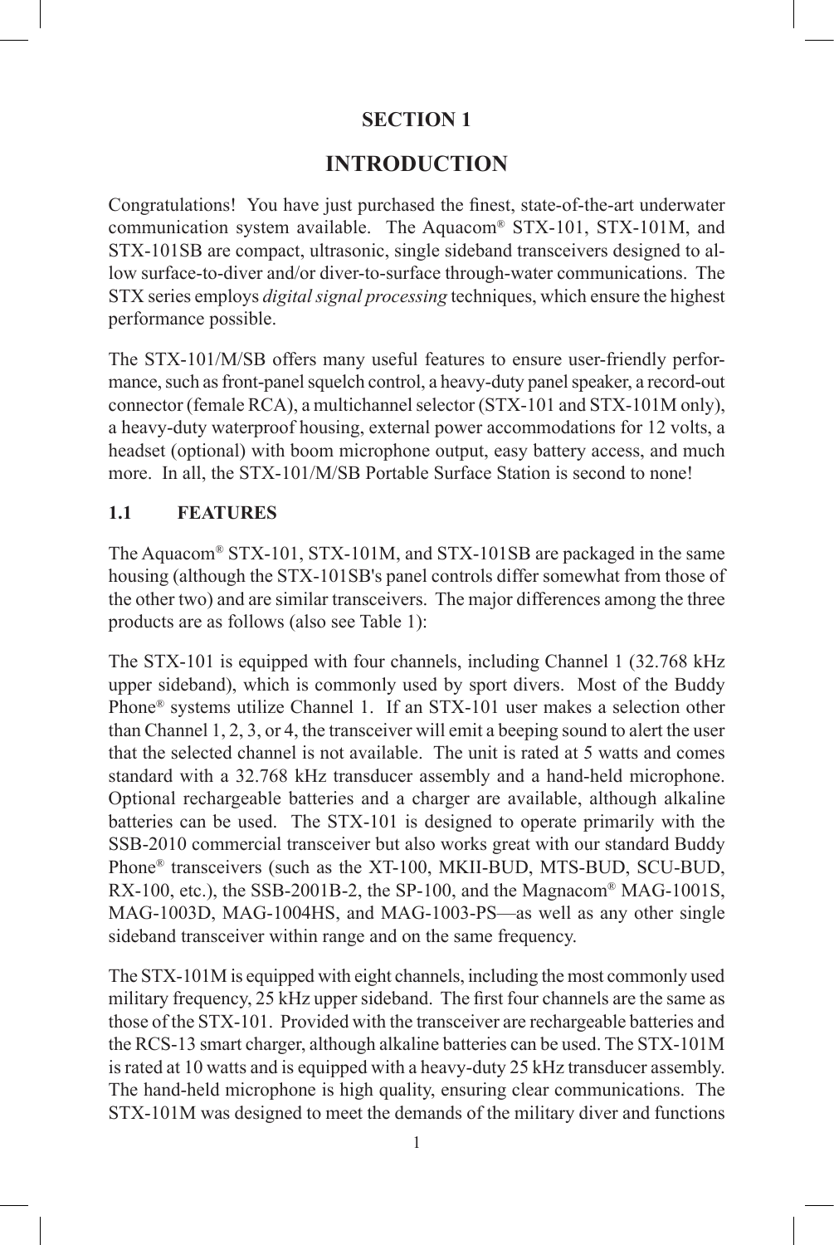#### **INTRODUCTION**

Congratulations! You have just purchased the finest, state-of-the-art underwater communication system available. The Aquacom® STX-101, STX-101M, and STX-101SB are compact, ultrasonic, single sideband transceivers designed to allow surface-to-diver and/or diver-to-surface through-water communications. The STX series employs *digital signal processing* techniques, which ensure the highest performance possible.

The STX-101/M/SB offers many useful features to ensure user-friendly performance, such as front-panel squelch control, a heavy-duty panel speaker, a record-out connector (female RCA), a multichannel selector (STX-101 and STX-101M only), a heavy-duty waterproof housing, external power accommodations for 12 volts, a headset (optional) with boom microphone output, easy battery access, and much more. In all, the STX-101/M/SB Portable Surface Station is second to none!

#### **1.1 FEATURES**

The Aquacom® STX-101, STX-101M, and STX-101SB are packaged in the same housing (although the STX-101SB's panel controls differ somewhat from those of the other two) and are similar transceivers. The major differences among the three products are as follows (also see Table 1):

The STX-101 is equipped with four channels, including Channel 1 (32.768 kHz upper sideband), which is commonly used by sport divers. Most of the Buddy Phone® systems utilize Channel 1. If an STX-101 user makes a selection other than Channel 1, 2, 3, or 4, the transceiver will emit a beeping sound to alert the user that the selected channel is not available. The unit is rated at 5 watts and comes standard with a 32.768 kHz transducer assembly and a hand-held microphone. Optional rechargeable batteries and a charger are available, although alkaline batteries can be used. The STX-101 is designed to operate primarily with the SSB-2010 commercial transceiver but also works great with our standard Buddy Phone® transceivers (such as the XT-100, MKII-BUD, MTS-BUD, SCU-BUD, RX-100, etc.), the SSB-2001B-2, the SP-100, and the Magnacom® MAG-1001S, MAG-1003D, MAG-1004HS, and MAG-1003-PS—as well as any other single sideband transceiver within range and on the same frequency.

The STX-101M is equipped with eight channels, including the most commonly used military frequency, 25 kHz upper sideband. The first four channels are the same as those of the STX-101. Provided with the transceiver are rechargeable batteries and the RCS-13 smart charger, although alkaline batteries can be used. The STX-101M is rated at 10 watts and is equipped with a heavy-duty 25 kHz transducer assembly. The hand-held microphone is high quality, ensuring clear communications. The STX-101M was designed to meet the demands of the military diver and functions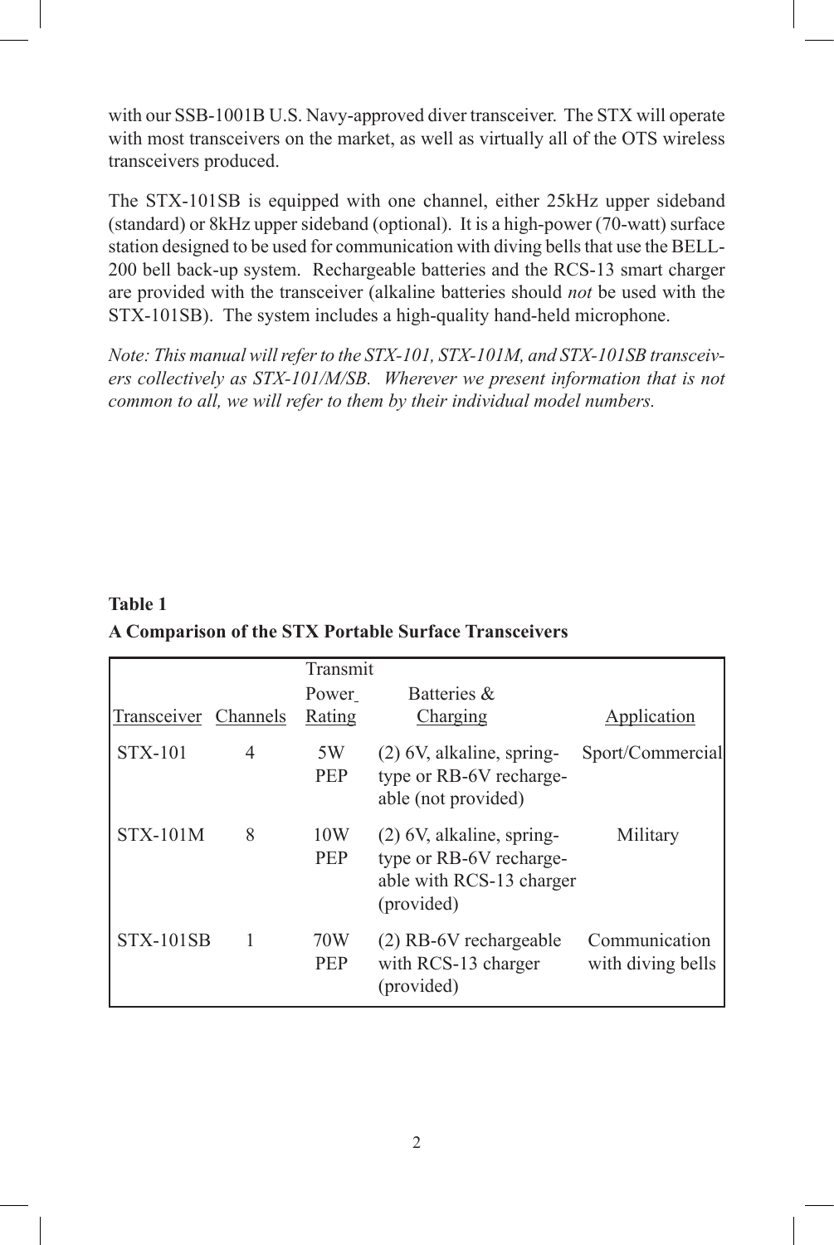with our SSB-1001B U.S. Navy-approved diver transceiver. The STX will operate with most transceivers on the market, as well as virtually all of the OTS wireless transceivers produced.

The STX-101SB is equipped with one channel, either 25kHz upper sideband (standard) or 8kHz upper sideband (optional). It is a high-power (70-watt) surface station designed to be used for communication with diving bells that use the BELL-200 bell back-up system. Rechargeable batteries and the RCS-13 smart charger are provided with the transceiver (alkaline batteries should *not* be used with the STX-101SB). The system includes a high-quality hand-held microphone.

*Note: This manual will refer to the STX-101, STX-101M, and STX-101SB transceivers collectively as STX-101/M/SB. Wherever we present information that is not common to all, we will refer to them by their individual model numbers.*

#### **Table 1 A Comparison of the STX Portable Surface Transceivers**

|                  |                          | Transmit          |                                                                                                  |                                    |
|------------------|--------------------------|-------------------|--------------------------------------------------------------------------------------------------|------------------------------------|
|                  |                          | Power             | Batteries &                                                                                      |                                    |
| Transceiver      | Channels                 | Rating            | Charging                                                                                         | Application                        |
| <b>STX-101</b>   | $\overline{\mathcal{A}}$ | 5W<br><b>PEP</b>  | $(2)$ 6V, alkaline, spring-<br>type or RB-6V recharge-<br>able (not provided)                    | Sport/Commercial                   |
| <b>STX-101M</b>  | 8                        | 10W<br><b>PEP</b> | $(2)$ 6V, alkaline, spring-<br>type or RB-6V recharge-<br>able with RCS-13 charger<br>(provided) | Military                           |
| <b>STX-101SB</b> |                          | 70W<br><b>PEP</b> | (2) RB-6V rechargeable<br>with RCS-13 charger<br>(provided)                                      | Communication<br>with diving bells |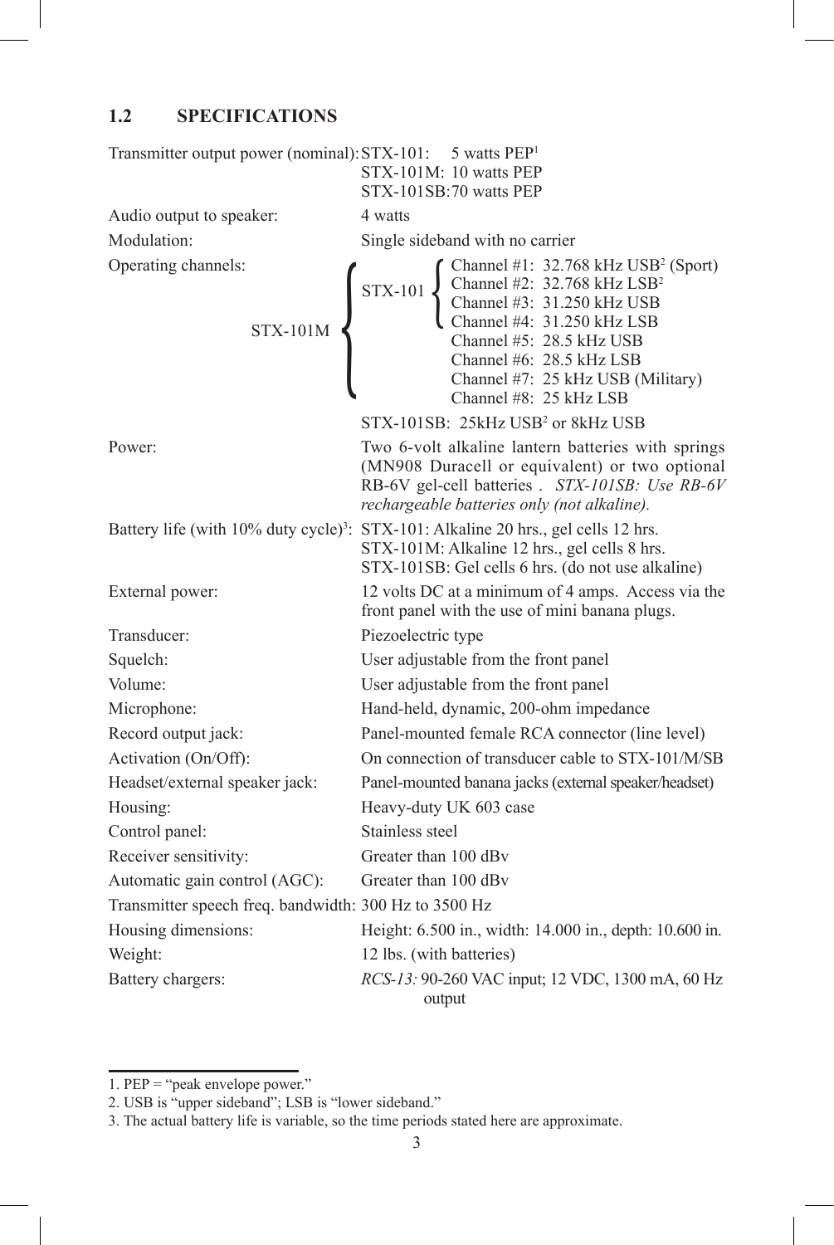#### **1.2 SPECIFICATIONS**

| Transmitter output power (nominal): STX-101: 5 watts PEP <sup>1</sup> | STX-101M: 10 watts PEP<br>STX-101SB:70 watts PEP                                                                                                                                                                                                                                                                                                                                                                                                                      |
|-----------------------------------------------------------------------|-----------------------------------------------------------------------------------------------------------------------------------------------------------------------------------------------------------------------------------------------------------------------------------------------------------------------------------------------------------------------------------------------------------------------------------------------------------------------|
| Audio output to speaker:                                              | 4 watts                                                                                                                                                                                                                                                                                                                                                                                                                                                               |
| Modulation:                                                           | Single sideband with no carrier                                                                                                                                                                                                                                                                                                                                                                                                                                       |
| Operating channels:<br>$STX-101M$                                     | $\left\{\n \begin{array}{c}\n \text{Channel #1: } 32.768 \text{ kHz } \text{USB}^2 \text{ (Spot)} \\ \text{Channel #2: } 32.768 \text{ kHz } \text{LSB}^2 \\ \text{Channel #3: } 31.250 \text{ kHz } \text{USB} \\ \text{Channel #4: } 31.250 \text{ kHz } \text{LSB} \\ \text{Channel #5: } 28.5 \text{ kHz } \text{USB} \\ \text{Channel #6: } 28.5 \text{ kHz } \text{LSB}\n \end{array}\n \right.$<br>Channel #7: 25 kHz USB (Military)<br>Channel #8: 25 kHz LSB |
|                                                                       | STX-101SB: 25kHz USB <sup>2</sup> or 8kHz USB                                                                                                                                                                                                                                                                                                                                                                                                                         |
| Power:                                                                | Two 6-volt alkaline lantern batteries with springs<br>(MN908 Duracell or equivalent) or two optional<br>RB-6V gel-cell batteries . STX-101SB: Use RB-6V<br>rechargeable batteries only (not alkaline).                                                                                                                                                                                                                                                                |
| Battery life (with $10\%$ duty cycle) <sup>3</sup> :                  | STX-101: Alkaline 20 hrs., gel cells 12 hrs.<br>STX-101M: Alkaline 12 hrs., gel cells 8 hrs.<br>STX-101SB: Gel cells 6 hrs. (do not use alkaline)                                                                                                                                                                                                                                                                                                                     |
| External power:                                                       | 12 volts DC at a minimum of 4 amps. Access via the<br>front panel with the use of mini banana plugs.                                                                                                                                                                                                                                                                                                                                                                  |
| Transducer:                                                           | Piezoelectric type                                                                                                                                                                                                                                                                                                                                                                                                                                                    |
| Squelch:                                                              | User adjustable from the front panel                                                                                                                                                                                                                                                                                                                                                                                                                                  |
| Volume:                                                               | User adjustable from the front panel                                                                                                                                                                                                                                                                                                                                                                                                                                  |
| Microphone:                                                           | Hand-held, dynamic, 200-ohm impedance                                                                                                                                                                                                                                                                                                                                                                                                                                 |
| Record output jack:                                                   | Panel-mounted female RCA connector (line level)                                                                                                                                                                                                                                                                                                                                                                                                                       |
| Activation (On/Off):                                                  | On connection of transducer cable to STX-101/M/SB                                                                                                                                                                                                                                                                                                                                                                                                                     |
| Headset/external speaker jack:                                        | Panel-mounted banana jacks (external speaker/headset)                                                                                                                                                                                                                                                                                                                                                                                                                 |
| Housing:                                                              | Heavy-duty UK 603 case                                                                                                                                                                                                                                                                                                                                                                                                                                                |
| Control panel:                                                        | Stainless steel                                                                                                                                                                                                                                                                                                                                                                                                                                                       |
| Receiver sensitivity:                                                 | Greater than 100 dBy                                                                                                                                                                                                                                                                                                                                                                                                                                                  |
| Automatic gain control (AGC):                                         | Greater than 100 dBv                                                                                                                                                                                                                                                                                                                                                                                                                                                  |
| Transmitter speech freq. bandwidth: 300 Hz to 3500 Hz                 |                                                                                                                                                                                                                                                                                                                                                                                                                                                                       |
| Housing dimensions:                                                   | Height: 6.500 in., width: 14.000 in., depth: 10.600 in.                                                                                                                                                                                                                                                                                                                                                                                                               |
| Weight:                                                               | 12 lbs. (with batteries)                                                                                                                                                                                                                                                                                                                                                                                                                                              |
| Battery chargers:                                                     | <i>RCS-13:</i> 90-260 VAC input; 12 VDC, 1300 mA, 60 Hz<br>output                                                                                                                                                                                                                                                                                                                                                                                                     |

<sup>1.</sup> PEP = "peak envelope power."

<sup>2.</sup> USB is "upper sideband"; LSB is "lower sideband."

<sup>3.</sup> The actual battery life is variable, so the time periods stated here are approximate.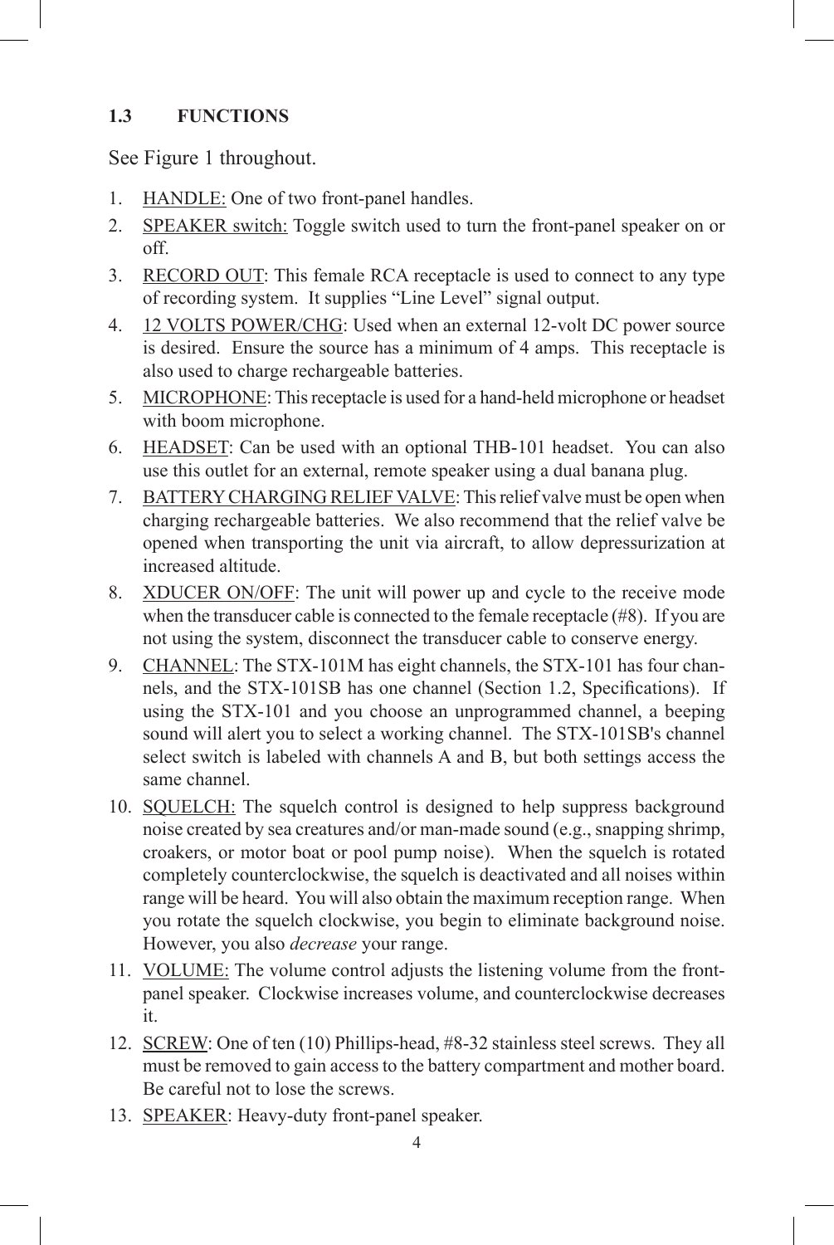#### **1.3 FUNCTIONS**

See Figure 1 throughout.

- 1. **HANDLE:** One of two front-panel handles.
- 2. SPEAKER switch: Toggle switch used to turn the front-panel speaker on or off.
- 3. RECORD OUT: This female RCA receptacle is used to connect to any type of recording system. It supplies "Line Level" signal output.
- 4. 12 VOLTS POWER/CHG: Used when an external 12-volt DC power source is desired. Ensure the source has a minimum of 4 amps. This receptacle is also used to charge rechargeable batteries.
- 5. MICROPHONE: This receptacle is used for a hand-held microphone or headset with boom microphone.
- 6. HEADSET: Can be used with an optional THB-101 headset. You can also use this outlet for an external, remote speaker using a dual banana plug.
- 7. BATTERY CHARGING RELIEF VALVE: This relief valve must be open when charging rechargeable batteries. We also recommend that the relief valve be opened when transporting the unit via aircraft, to allow depressurization at increased altitude.
- 8. XDUCER ON/OFF: The unit will power up and cycle to the receive mode when the transducer cable is connected to the female receptacle (#8). If you are not using the system, disconnect the transducer cable to conserve energy.
- 9. CHANNEL: The STX-101M has eight channels, the STX-101 has four channels, and the STX-101SB has one channel (Section 1.2, Specifications). If using the STX-101 and you choose an unprogrammed channel, a beeping sound will alert you to select a working channel. The STX-101SB's channel select switch is labeled with channels A and B, but both settings access the same channel.
- 10. SQUELCH: The squelch control is designed to help suppress background noise created by sea creatures and/or man-made sound (e.g., snapping shrimp, croakers, or motor boat or pool pump noise). When the squelch is rotated completely counterclockwise, the squelch is deactivated and all noises within range will be heard. You will also obtain the maximum reception range. When you rotate the squelch clockwise, you begin to eliminate background noise. However, you also *decrease* your range.
- 11. VOLUME: The volume control adjusts the listening volume from the frontpanel speaker. Clockwise increases volume, and counterclockwise decreases it.
- 12. SCREW: One of ten (10) Phillips-head, #8-32 stainless steel screws. They all must be removed to gain access to the battery compartment and mother board. Be careful not to lose the screws.
- 13. SPEAKER: Heavy-duty front-panel speaker.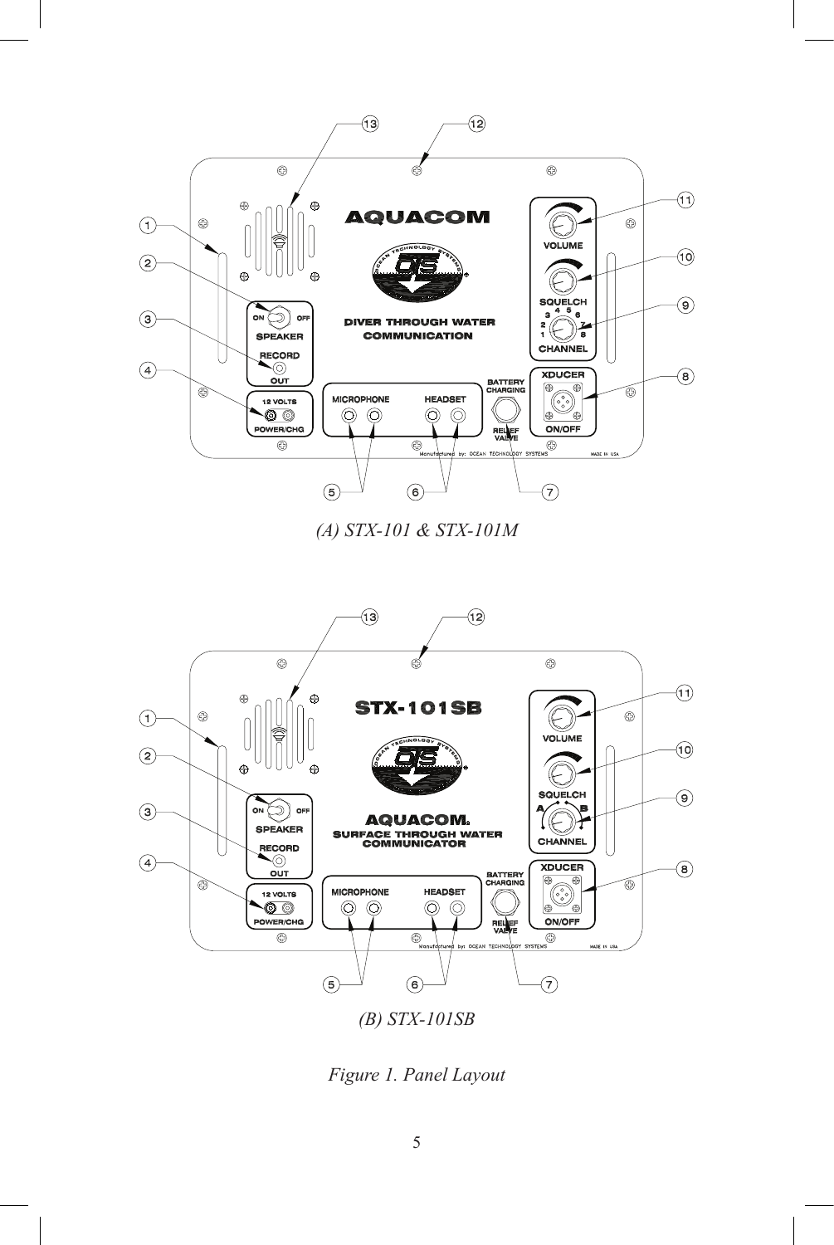

*(A) STX-101 & STX-101M*



*Figure 1. Panel Layout*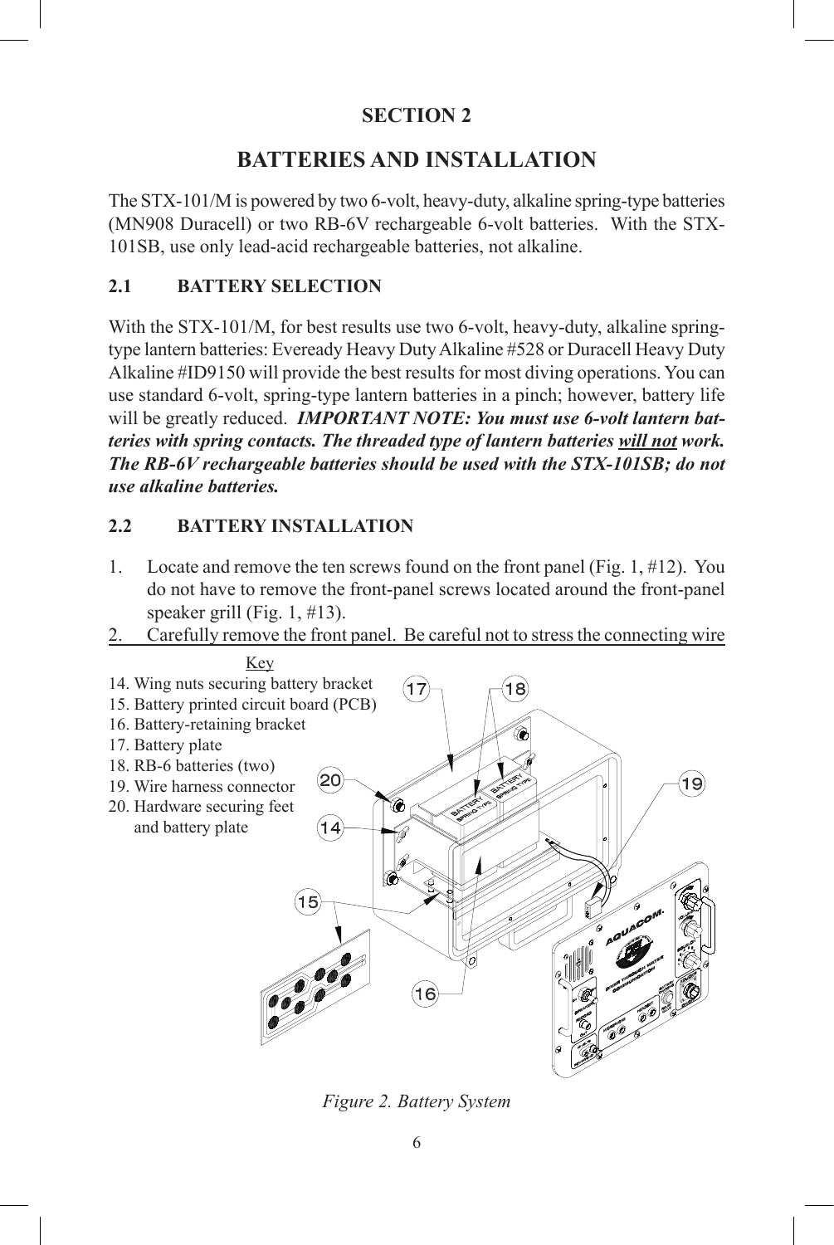#### **BATTERIES AND INSTALLATION**

The STX-101/M is powered by two 6-volt, heavy-duty, alkaline spring-type batteries (MN908 Duracell) or two RB-6V rechargeable 6-volt batteries. With the STX-101SB, use only lead-acid rechargeable batteries, not alkaline.

#### **2.1 BATTERY SELECTION**

With the STX-101/M, for best results use two 6-volt, heavy-duty, alkaline springtype lantern batteries: Eveready Heavy Duty Alkaline #528 or Duracell Heavy Duty Alkaline #ID9150 will provide the best results for most diving operations. You can use standard 6-volt, spring-type lantern batteries in a pinch; however, battery life will be greatly reduced. *IMPORTANT NOTE: You must use 6-volt lantern batteries with spring contacts. The threaded type of lantern batteries will not work. The RB-6V rechargeable batteries should be used with the STX-101SB; do not use alkaline batteries.*

#### **2.2 BATTERY INSTALLATION**

- 1. Locate and remove the ten screws found on the front panel (Fig. 1, #12). You do not have to remove the front-panel screws located around the front-panel speaker grill (Fig. 1, #13).
- 2. Carefully remove the front panel. Be careful not to stress the connecting wire



*Figure 2. Battery System*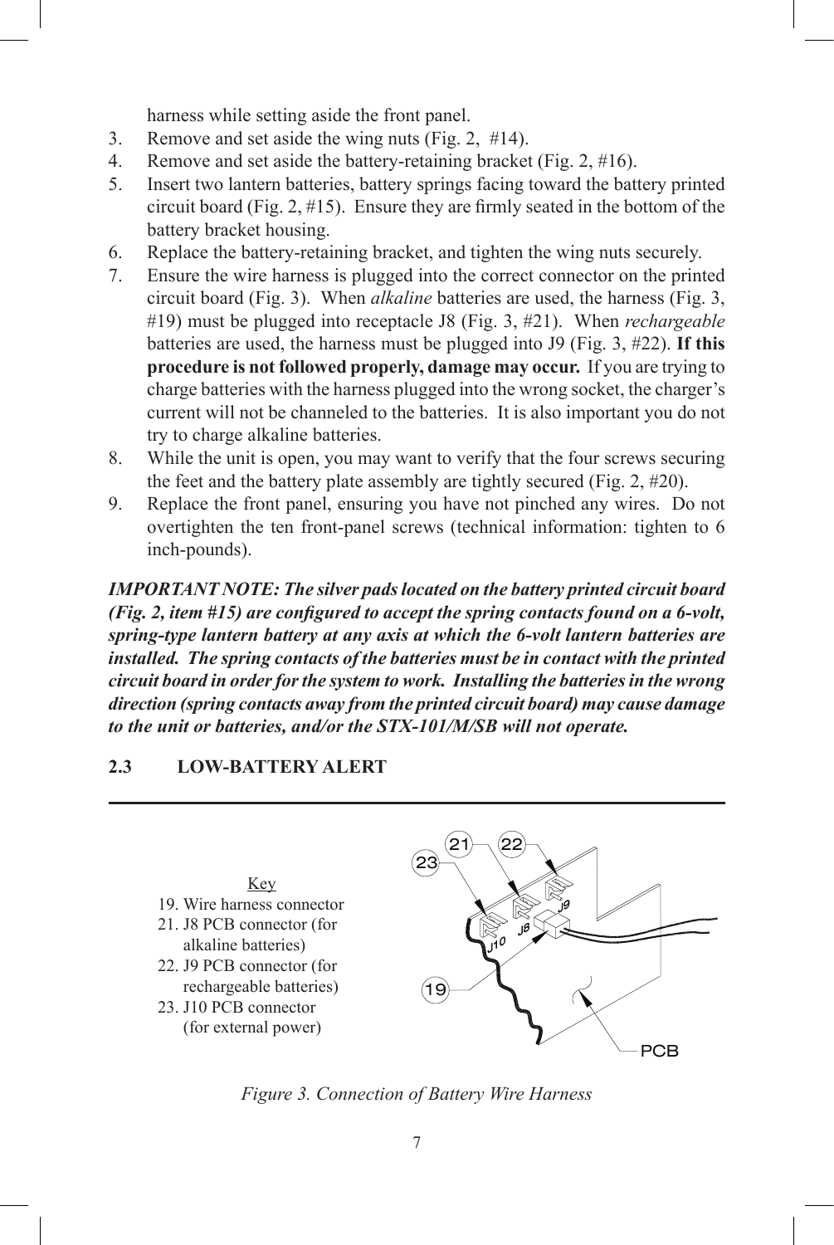harness while setting aside the front panel.

- 3. Remove and set aside the wing nuts (Fig. 2, #14).
- 4. Remove and set aside the battery-retaining bracket (Fig. 2, #16).
- 5. Insert two lantern batteries, battery springs facing toward the battery printed circuit board (Fig. 2, #15). Ensure they are firmly seated in the bottom of the battery bracket housing.
- 6. Replace the battery-retaining bracket, and tighten the wing nuts securely.
- 7. Ensure the wire harness is plugged into the correct connector on the printed circuit board (Fig. 3). When *alkaline* batteries are used, the harness (Fig. 3, #19) must be plugged into receptacle J8 (Fig. 3, #21). When *rechargeable* batteries are used, the harness must be plugged into J9 (Fig. 3, #22). **If this procedure is not followed properly, damage may occur.** If you are trying to charge batteries with the harness plugged into the wrong socket, the charger's current will not be channeled to the batteries. It is also important you do not try to charge alkaline batteries.
- 8. While the unit is open, you may want to verify that the four screws securing the feet and the battery plate assembly are tightly secured (Fig. 2, #20).
- 9. Replace the front panel, ensuring you have not pinched any wires. Do not overtighten the ten front-panel screws (technical information: tighten to 6 inch-pounds).

*Important Note: The silver pads located on the battery printed circuit board (Fig. 2, item #15) are configured to accept the spring contacts found on a 6-volt, spring-type lantern battery at any axis at which the 6-volt lantern batteries are installed. The spring contacts of the batteries must be in contact with the printed circuit board in order for the system to work. Installing the batteries in the wrong direction (spring contacts away from the printed circuit board) may cause damage to the unit or batteries, and/or the STX-101/M/SB will not operate.*

#### **2.3 LOW-BATTERY ALERT**



*Figure 3. Connection of Battery Wire Harness*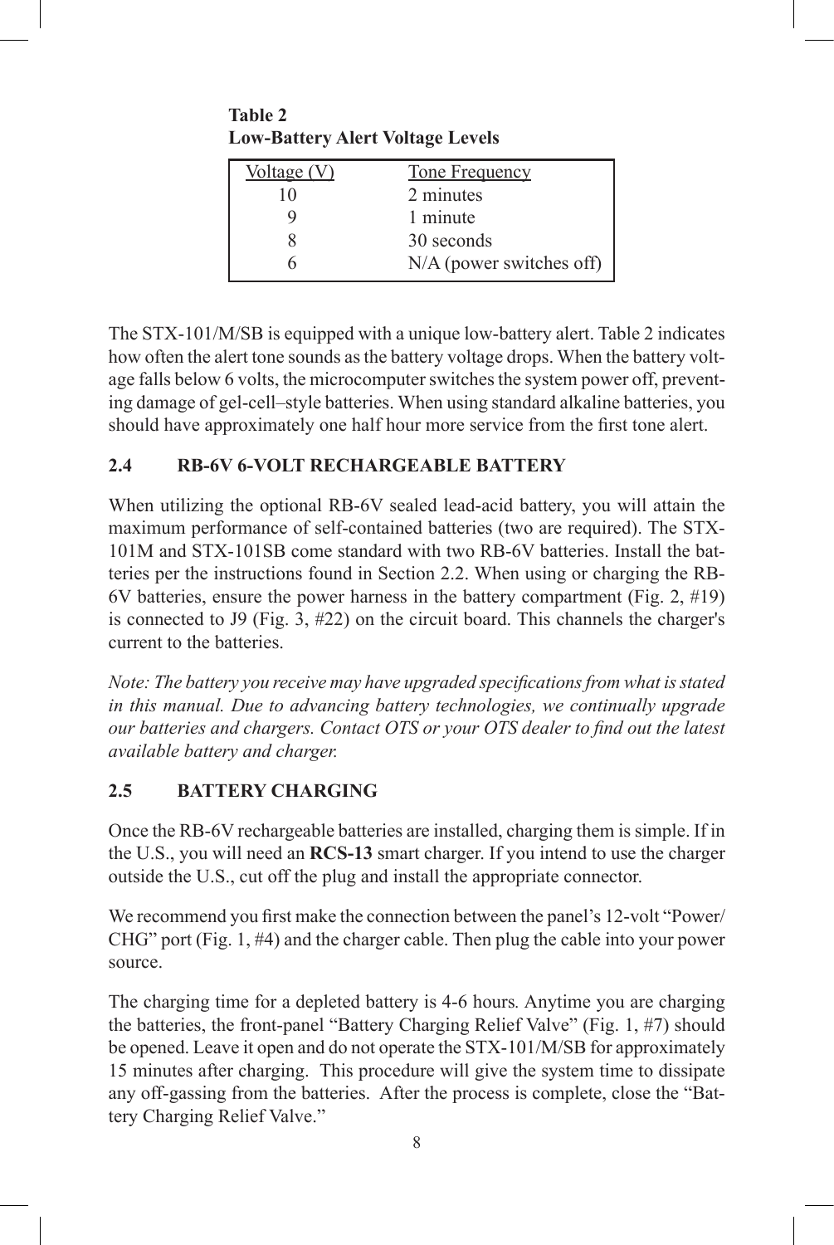**Table 2 Low-Battery Alert Voltage Levels**

| Voltage $(V)$ | Tone Frequency             |
|---------------|----------------------------|
| 10            | 2 minutes                  |
|               | 1 minute                   |
|               | 30 seconds                 |
|               | $N/A$ (power switches off) |

The STX-101/M/SB is equipped with a unique low-battery alert. Table 2 indicates how often the alert tone sounds as the battery voltage drops. When the battery voltage falls below 6 volts, the microcomputer switches the system power off, preventing damage of gel-cell–style batteries. When using standard alkaline batteries, you should have approximately one half hour more service from the first tone alert.

#### **2.4 RB-6V 6-VOLT RECHARGEABLE BATTERY**

When utilizing the optional RB-6V sealed lead-acid battery, you will attain the maximum performance of self-contained batteries (two are required). The STX-101M and STX-101SB come standard with two RB-6V batteries. Install the batteries per the instructions found in Section 2.2. When using or charging the RB-6V batteries, ensure the power harness in the battery compartment (Fig. 2,  $\#19$ ) is connected to J9 (Fig. 3, #22) on the circuit board. This channels the charger's current to the batteries.

*Note: The battery you receive may have upgraded specifications from what is stated in this manual. Due to advancing battery technologies, we continually upgrade our batteries and chargers. Contact OTS or your OTS dealer to find out the latest available battery and charger.*

#### **2.5 BATTERY CHARGING**

Once the RB-6V rechargeable batteries are installed, charging them is simple. If in the U.S., you will need an **RCS-13** smart charger. If you intend to use the charger outside the U.S., cut off the plug and install the appropriate connector.

We recommend you first make the connection between the panel's 12-volt "Power/ CHG" port (Fig. 1, #4) and the charger cable. Then plug the cable into your power source.

The charging time for a depleted battery is 4-6 hours*.* Anytime you are charging the batteries, the front-panel "Battery Charging Relief Valve" (Fig. 1, #7) should be opened. Leave it open and do not operate the STX-101/M/SB for approximately 15 minutes after charging. This procedure will give the system time to dissipate any off-gassing from the batteries. After the process is complete, close the "Battery Charging Relief Valve."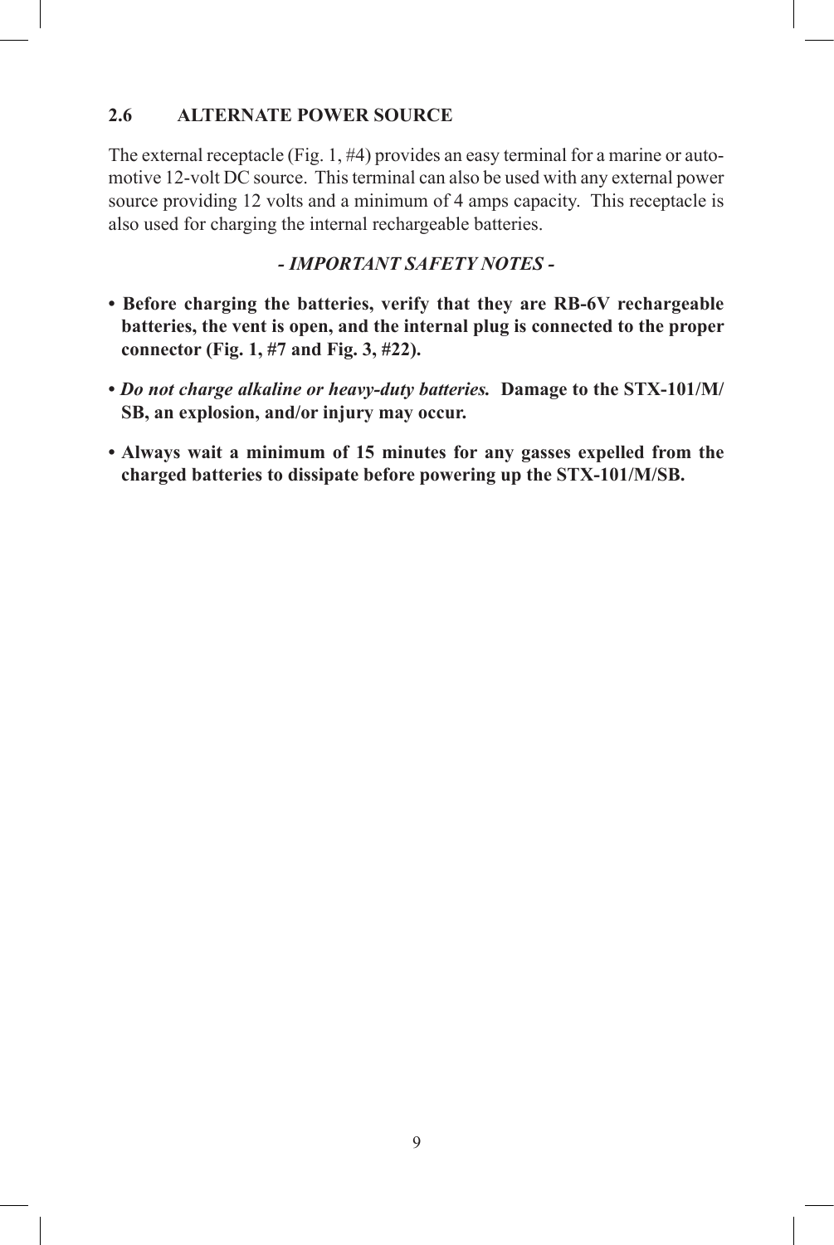#### **2.6 ALTERNATE POWER SOURCE**

The external receptacle (Fig. 1,  $\#4$ ) provides an easy terminal for a marine or automotive 12-volt DC source. This terminal can also be used with any external power source providing 12 volts and a minimum of 4 amps capacity. This receptacle is also used for charging the internal rechargeable batteries.

#### *- IMPORTANT SAFETY NOTES -*

- **Before charging the batteries, verify that they are RB-6V rechargeable batteries, the vent is open, and the internal plug is connected to the proper connector (Fig. 1, #7 and Fig. 3, #22).**
- *Do not charge alkaline or heavy-duty batteries.* **Damage to the STX-101/M/ SB, an explosion, and/or injury may occur.**
- **Always wait a minimum of 15 minutes for any gasses expelled from the charged batteries to dissipate before powering up the STX-101/M/SB.**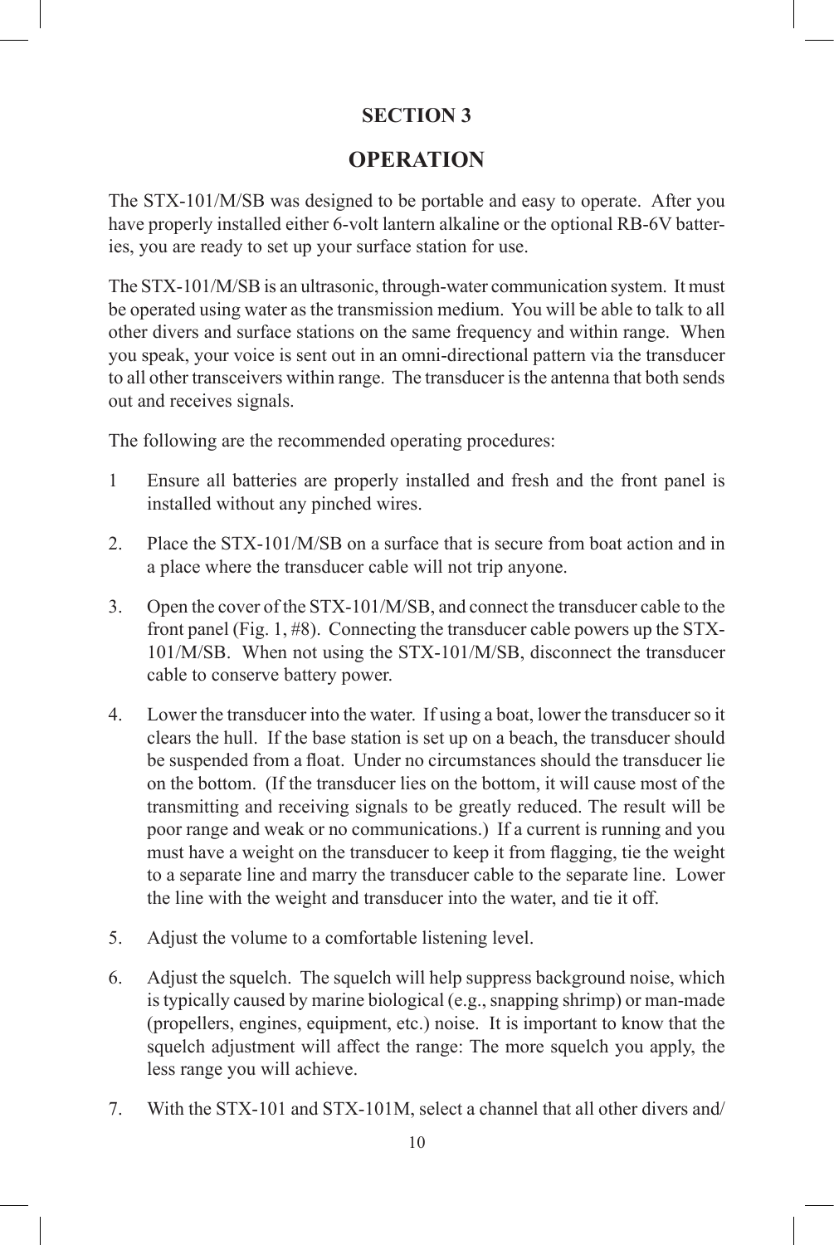#### **OPERATION**

The STX-101/M/SB was designed to be portable and easy to operate. After you have properly installed either 6-volt lantern alkaline or the optional RB-6V batteries, you are ready to set up your surface station for use.

The STX-101/M/SB is an ultrasonic, through-water communication system. It must be operated using water as the transmission medium. You will be able to talk to all other divers and surface stations on the same frequency and within range. When you speak, your voice is sent out in an omni-directional pattern via the transducer to all other transceivers within range. The transducer is the antenna that both sends out and receives signals.

The following are the recommended operating procedures:

- 1 Ensure all batteries are properly installed and fresh and the front panel is installed without any pinched wires.
- 2. Place the STX-101/M/SB on a surface that is secure from boat action and in a place where the transducer cable will not trip anyone.
- 3. Open the cover of the STX-101/M/SB, and connect the transducer cable to the front panel (Fig. 1, #8). Connecting the transducer cable powers up the STX-101/M/SB. When not using the STX-101/M/SB, disconnect the transducer cable to conserve battery power.
- 4. Lower the transducer into the water. If using a boat, lower the transducer so it clears the hull. If the base station is set up on a beach, the transducer should be suspended from a float. Under no circumstances should the transducer lie on the bottom. (If the transducer lies on the bottom, it will cause most of the transmitting and receiving signals to be greatly reduced. The result will be poor range and weak or no communications.) If a current is running and you must have a weight on the transducer to keep it from flagging, tie the weight to a separate line and marry the transducer cable to the separate line. Lower the line with the weight and transducer into the water, and tie it off.
- 5. Adjust the volume to a comfortable listening level.
- 6. Adjust the squelch. The squelch will help suppress background noise, which is typically caused by marine biological (e.g., snapping shrimp) or man-made (propellers, engines, equipment, etc.) noise. It is important to know that the squelch adjustment will affect the range: The more squelch you apply, the less range you will achieve.
- 7. With the STX-101 and STX-101M, select a channel that all other divers and/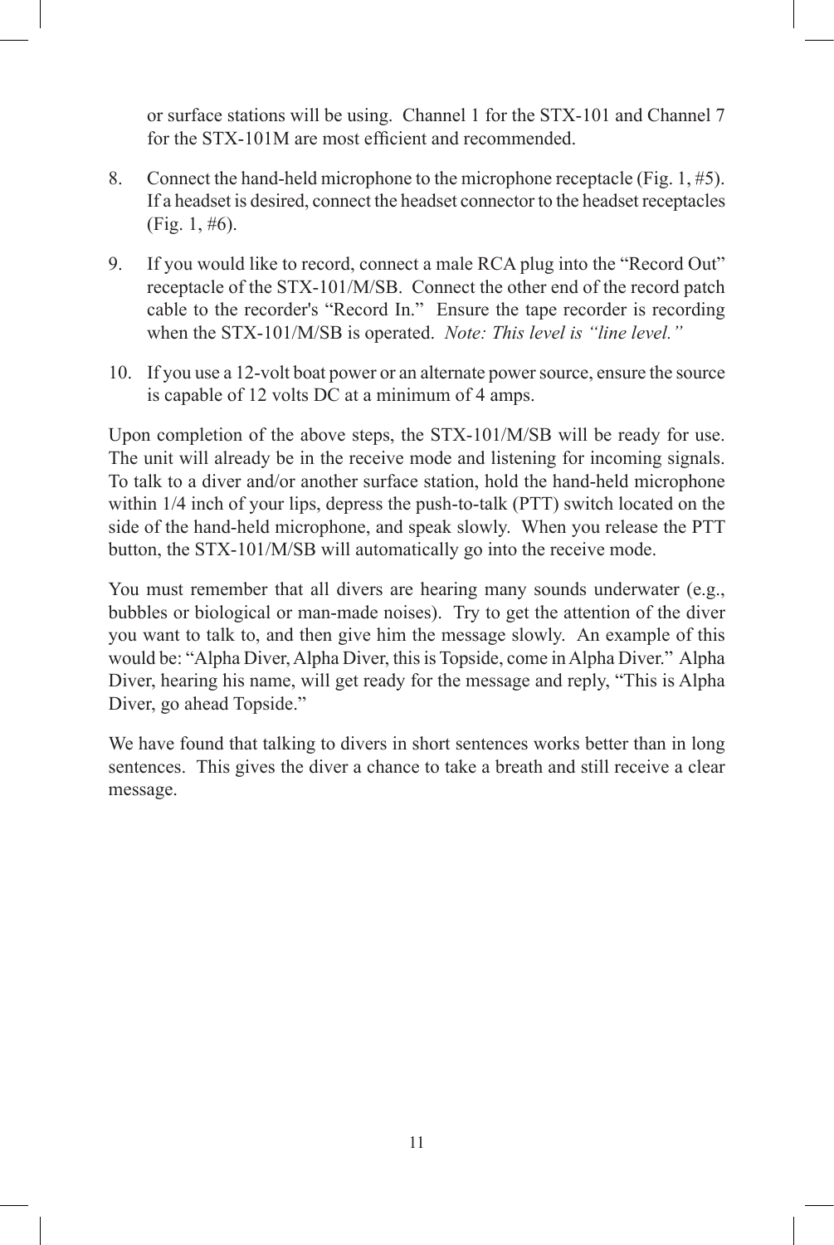or surface stations will be using. Channel 1 for the STX-101 and Channel 7 for the STX-101M are most efficient and recommended.

- 8. Connect the hand-held microphone to the microphone receptacle (Fig. 1, #5). If a headset is desired, connect the headset connector to the headset receptacles (Fig. 1, #6).
- 9. If you would like to record, connect a male RCA plug into the "Record Out" receptacle of the STX-101/M/SB. Connect the other end of the record patch cable to the recorder's "Record In." Ensure the tape recorder is recording when the STX-101/M/SB is operated. *Note: This level is "line level."*
- 10. If you use a 12-volt boat power or an alternate power source, ensure the source is capable of 12 volts DC at a minimum of 4 amps.

Upon completion of the above steps, the STX-101/M/SB will be ready for use. The unit will already be in the receive mode and listening for incoming signals. To talk to a diver and/or another surface station, hold the hand-held microphone within 1/4 inch of your lips, depress the push-to-talk (PTT) switch located on the side of the hand-held microphone, and speak slowly. When you release the PTT button, the STX-101/M/SB will automatically go into the receive mode.

You must remember that all divers are hearing many sounds underwater (e.g., bubbles or biological or man-made noises). Try to get the attention of the diver you want to talk to, and then give him the message slowly. An example of this would be: "Alpha Diver, Alpha Diver, this is Topside, come in Alpha Diver." Alpha Diver, hearing his name, will get ready for the message and reply, "This is Alpha Diver, go ahead Topside."

We have found that talking to divers in short sentences works better than in long sentences. This gives the diver a chance to take a breath and still receive a clear message.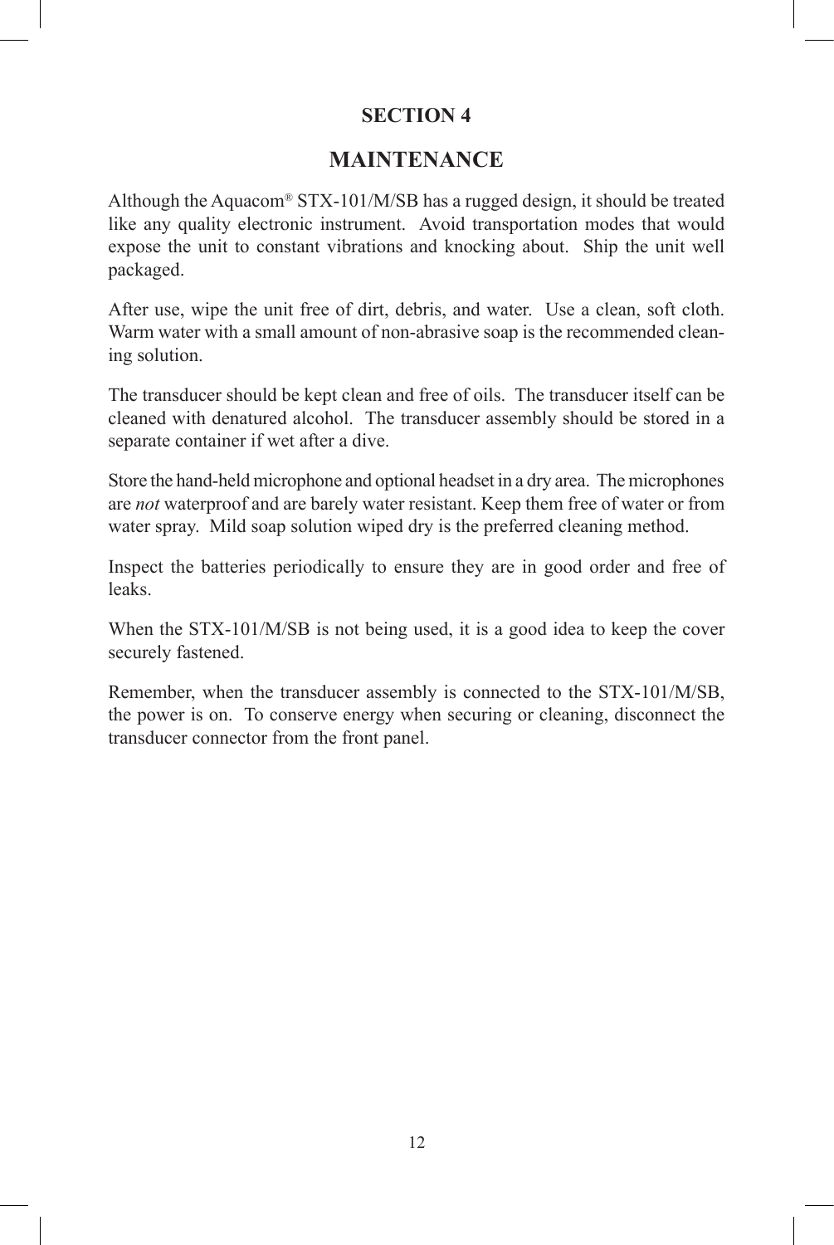#### **MAINTENANCE**

Although the Aquacom<sup>®</sup> STX-101/M/SB has a rugged design, it should be treated like any quality electronic instrument. Avoid transportation modes that would expose the unit to constant vibrations and knocking about. Ship the unit well packaged.

After use, wipe the unit free of dirt, debris, and water. Use a clean, soft cloth. Warm water with a small amount of non-abrasive soap is the recommended cleaning solution.

The transducer should be kept clean and free of oils. The transducer itself can be cleaned with denatured alcohol. The transducer assembly should be stored in a separate container if wet after a dive.

Store the hand-held microphone and optional headset in a dry area. The microphones are *not* waterproof and are barely water resistant. Keep them free of water or from water spray. Mild soap solution wiped dry is the preferred cleaning method.

Inspect the batteries periodically to ensure they are in good order and free of leaks.

When the STX-101/M/SB is not being used, it is a good idea to keep the cover securely fastened.

Remember, when the transducer assembly is connected to the STX-101/M/SB, the power is on. To conserve energy when securing or cleaning, disconnect the transducer connector from the front panel.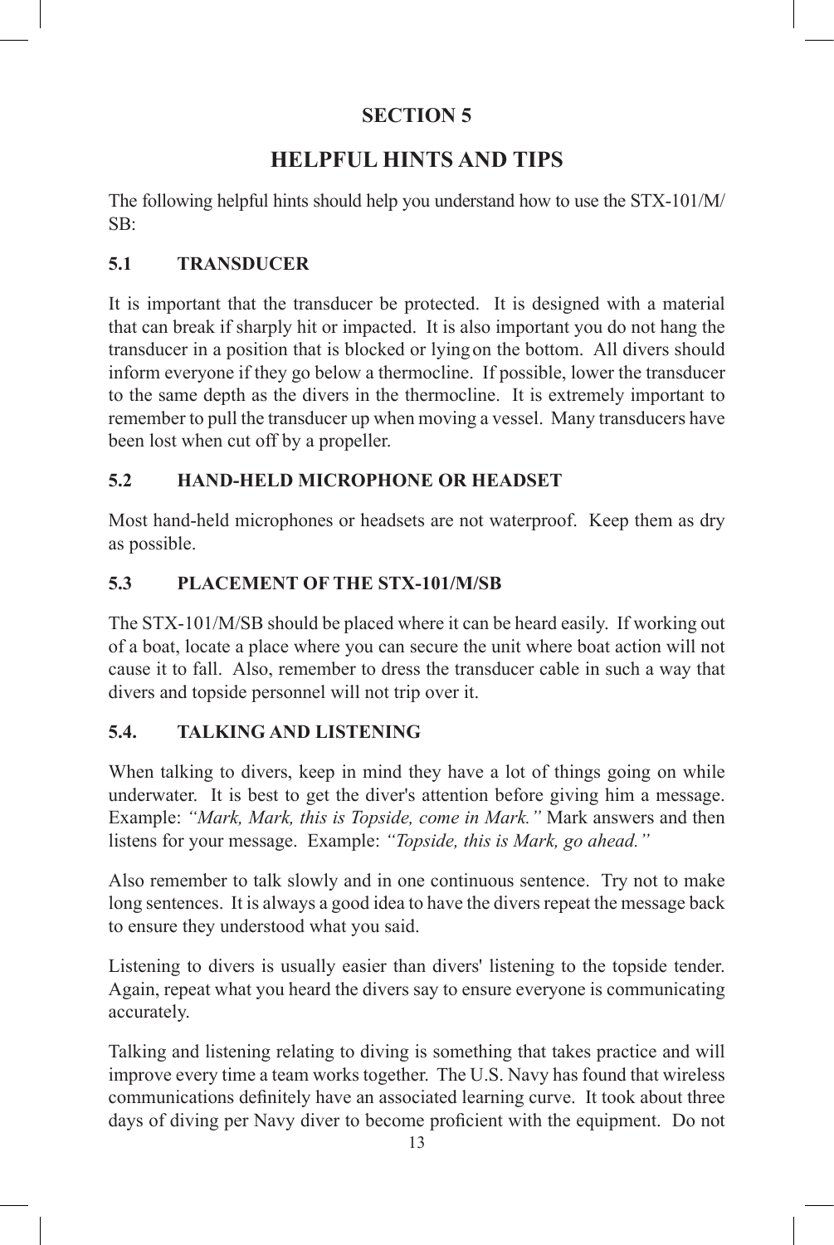### **HELPFUL HINTS AND TIPS**

The following helpful hints should help you understand how to use the STX-101/M/  $SB<sup>2</sup>$ 

#### **5.1 TRANSDUCER**

It is important that the transducer be protected. It is designed with a material that can break if sharply hit or impacted. It is also important you do not hang the transducer in a position that is blocked or lying on the bottom. All divers should inform everyone if they go below a thermocline. If possible, lower the transducer to the same depth as the divers in the thermocline. It is extremely important to remember to pull the transducer up when moving a vessel. Many transducers have been lost when cut off by a propeller.

#### **5.2 HAND-HELD MICROPHONE OR HEADSET**

Most hand-held microphones or headsets are not waterproof. Keep them as dry as possible.

#### **5.3 PLACEMENT OF THE STX-101/M/SB**

The STX-101/M/SB should be placed where it can be heard easily. If working out of a boat, locate a place where you can secure the unit where boat action will not cause it to fall. Also, remember to dress the transducer cable in such a way that divers and topside personnel will not trip over it.

#### **5.4. TALKING AND LISTENING**

When talking to divers, keep in mind they have a lot of things going on while underwater. It is best to get the diver's attention before giving him a message. Example: *"Mark, Mark, this is Topside, come in Mark."* Mark answers and then listens for your message. Example: *"Topside, this is Mark, go ahead."*

Also remember to talk slowly and in one continuous sentence. Try not to make long sentences. It is always a good idea to have the divers repeat the message back to ensure they understood what you said.

Listening to divers is usually easier than divers' listening to the topside tender. Again, repeat what you heard the divers say to ensure everyone is communicating accurately.

Talking and listening relating to diving is something that takes practice and will improve every time a team works together. The U.S. Navy has found that wireless communications definitely have an associated learning curve. It took about three days of diving per Navy diver to become proficient with the equipment. Do not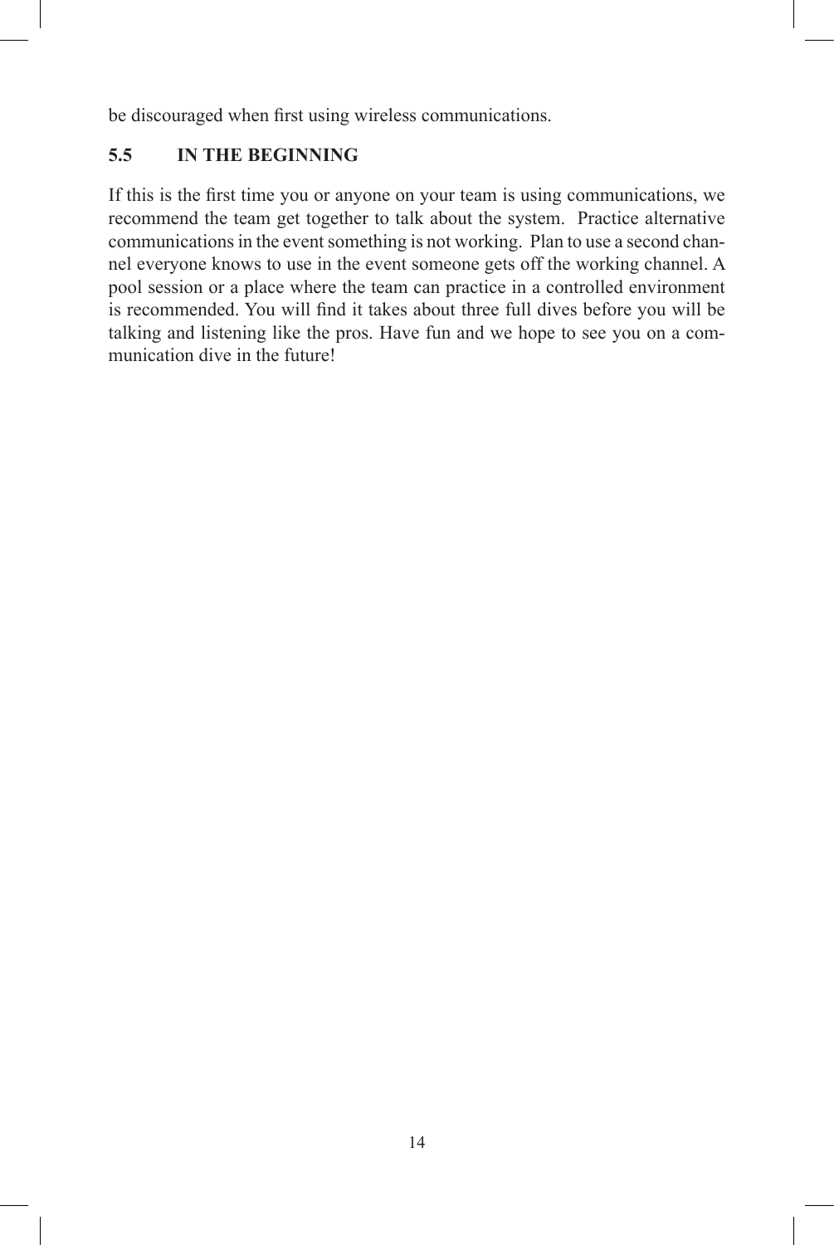be discouraged when first using wireless communications.

#### **5.5 IN THE BEGINNING**

If this is the first time you or anyone on your team is using communications, we recommend the team get together to talk about the system. Practice alternative communications in the event something is not working. Plan to use a second channel everyone knows to use in the event someone gets off the working channel. A pool session or a place where the team can practice in a controlled environment is recommended. You will find it takes about three full dives before you will be talking and listening like the pros. Have fun and we hope to see you on a communication dive in the future!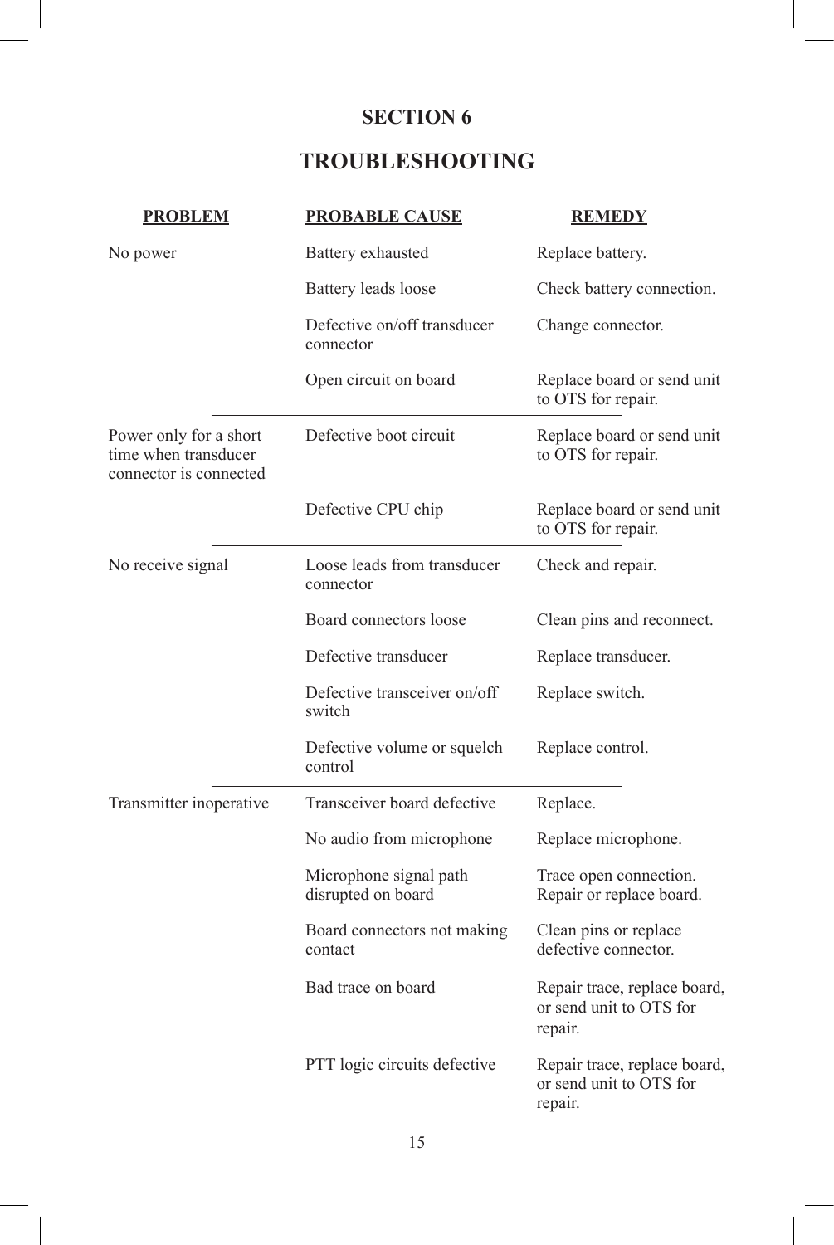### **TROUBLESHOOTING**

| <b>PROBLEM</b>                                                           | <b>PROBABLE CAUSE</b>                        | <b>REMEDY</b>                                                      |
|--------------------------------------------------------------------------|----------------------------------------------|--------------------------------------------------------------------|
| No power                                                                 | Battery exhausted                            | Replace battery.                                                   |
|                                                                          | Battery leads loose                          | Check battery connection.                                          |
|                                                                          | Defective on/off transducer<br>connector     | Change connector.                                                  |
|                                                                          | Open circuit on board                        | Replace board or send unit<br>to OTS for repair.                   |
| Power only for a short<br>time when transducer<br>connector is connected | Defective boot circuit                       | Replace board or send unit<br>to OTS for repair.                   |
|                                                                          | Defective CPU chip                           | Replace board or send unit<br>to OTS for repair.                   |
| No receive signal                                                        | Loose leads from transducer<br>connector     | Check and repair.                                                  |
|                                                                          | Board connectors loose                       | Clean pins and reconnect.                                          |
|                                                                          | Defective transducer                         | Replace transducer.                                                |
|                                                                          | Defective transceiver on/off<br>switch       | Replace switch.                                                    |
|                                                                          | Defective volume or squelch<br>control       | Replace control.                                                   |
| Transmitter inoperative                                                  | Transceiver board defective                  | Replace.                                                           |
|                                                                          | No audio from microphone                     | Replace microphone.                                                |
|                                                                          | Microphone signal path<br>disrupted on board | Trace open connection.<br>Repair or replace board.                 |
|                                                                          | Board connectors not making<br>contact       | Clean pins or replace<br>defective connector.                      |
|                                                                          | Bad trace on board                           | Repair trace, replace board,<br>or send unit to OTS for<br>repair. |
|                                                                          | PTT logic circuits defective                 | Repair trace, replace board,<br>or send unit to OTS for<br>repair. |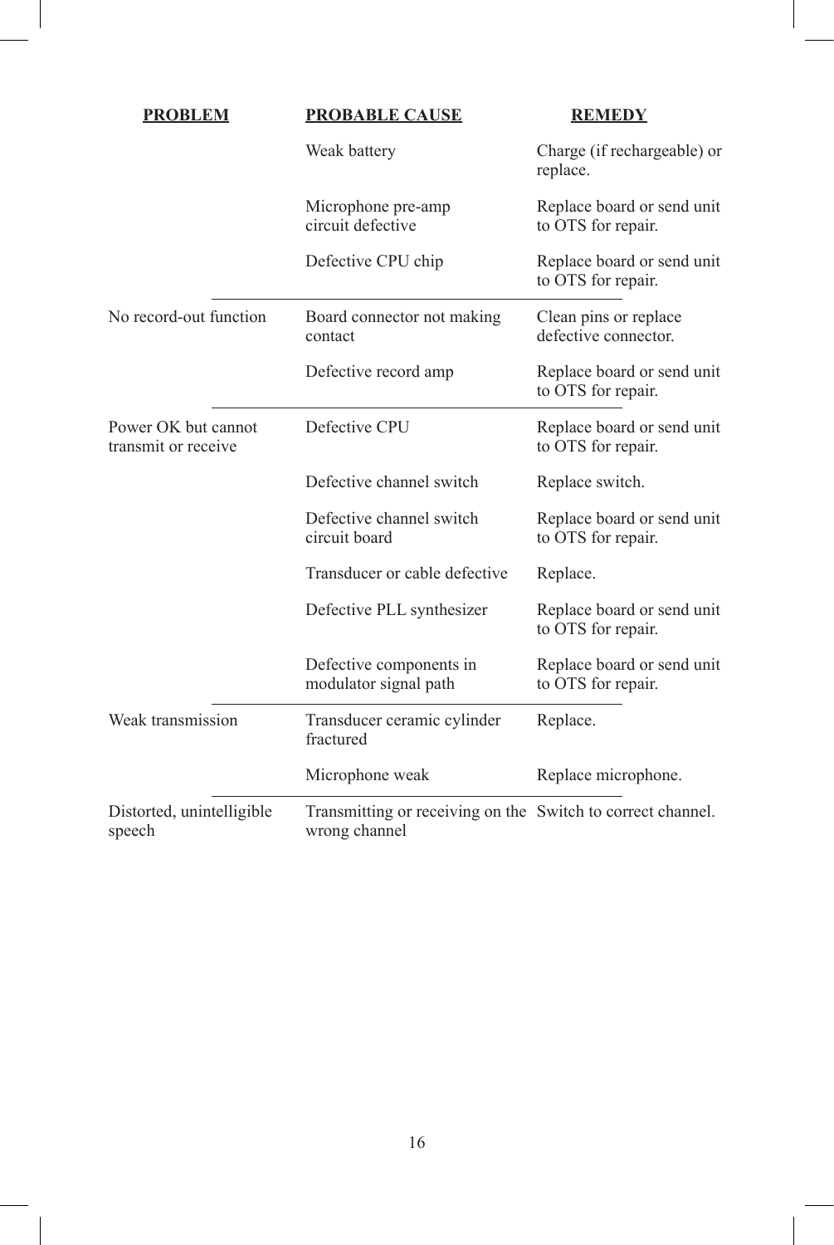| <b>PROBLEM</b>                             | <b>PROBABLE CAUSE</b>                                                        | <b>REMEDY</b>                                    |  |
|--------------------------------------------|------------------------------------------------------------------------------|--------------------------------------------------|--|
|                                            | Weak battery                                                                 | Charge (if rechargeable) or<br>replace.          |  |
|                                            | Microphone pre-amp<br>circuit defective                                      | Replace board or send unit<br>to OTS for repair. |  |
|                                            | Defective CPU chip                                                           | Replace board or send unit<br>to OTS for repair. |  |
| No record-out function                     | Board connector not making<br>contact                                        | Clean pins or replace<br>defective connector.    |  |
|                                            | Defective record amp                                                         | Replace board or send unit<br>to OTS for repair. |  |
| Power OK but cannot<br>transmit or receive | Defective CPU                                                                | Replace board or send unit<br>to OTS for repair. |  |
|                                            | Defective channel switch                                                     | Replace switch.                                  |  |
|                                            | Defective channel switch<br>circuit board                                    | Replace board or send unit<br>to OTS for repair. |  |
|                                            | Transducer or cable defective                                                | Replace.                                         |  |
|                                            | Defective PLL synthesizer                                                    | Replace board or send unit<br>to OTS for repair. |  |
|                                            | Defective components in<br>modulator signal path                             | Replace board or send unit<br>to OTS for repair. |  |
| Weak transmission                          | Transducer ceramic cylinder<br>fractured                                     | Replace.                                         |  |
|                                            | Microphone weak                                                              | Replace microphone.                              |  |
| Distorted, unintelligible<br>speech        | Transmitting or receiving on the Switch to correct channel.<br>wrong channel |                                                  |  |

I